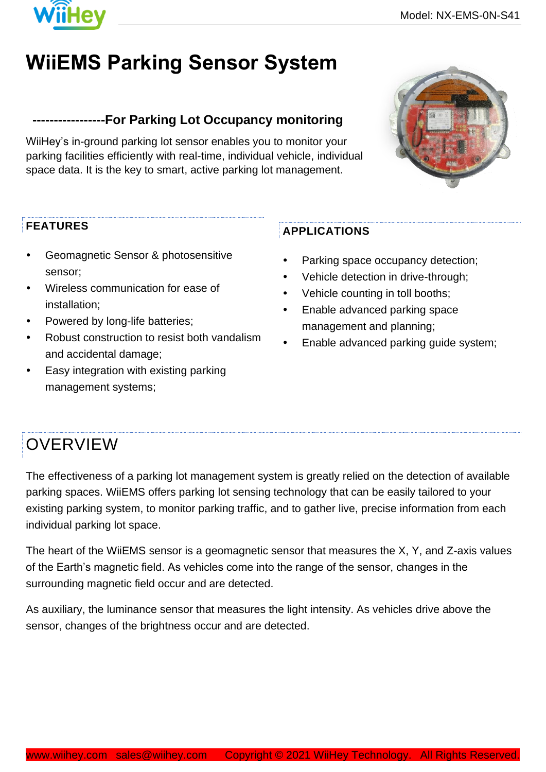

# **WiiEMS Parking Sensor System**

#### **-----------------For Parking Lot Occupancy monitoring**

WiiHey's in-ground parking lot sensor enables you to monitor your parking facilities efficiently with real-time, individual vehicle, individual space data. It is the key to smart, active parking lot management.



- Geomagnetic Sensor & photosensitive sensor;
- Wireless communication for ease of installation;
- Powered by long-life batteries;
- Robust construction to resist both vandalism and accidental damage;
- Easy integration with existing parking management systems;

#### **APPLICATIONS**

- Parking space occupancy detection;
- Vehicle detection in drive-through;
- Vehicle counting in toll booths;
- Enable advanced parking space management and planning;
- Enable advanced parking guide system;

### **OVERVIEW**

The effectiveness of a parking lot management system is greatly relied on the detection of available parking spaces. WiiEMS offers parking lot sensing technology that can be easily tailored to your existing parking system, to monitor parking traffic, and to gather live, precise information from each individual parking lot space.

The heart of the WiiEMS sensor is a geomagnetic sensor that measures the X, Y, and Z-axis values of the Earth's magnetic field. As vehicles come into the range of the sensor, changes in the surrounding magnetic field occur and are detected.

As auxiliary, the luminance sensor that measures the light intensity. As vehicles drive above the sensor, changes of the brightness occur and are detected.

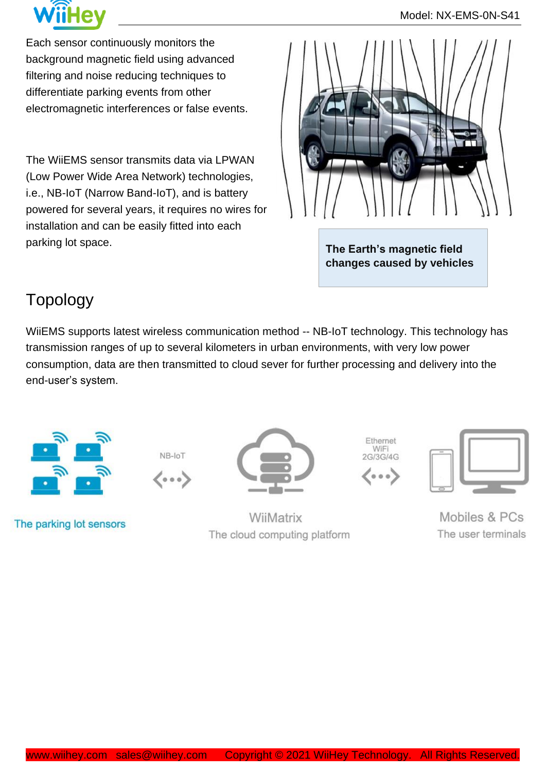

Each sensor continuously monitors the background magnetic field using advanced filtering and noise reducing techniques to differentiate parking events from other electromagnetic interferences or false events.

The WiiEMS sensor transmits data via LPWAN (Low Power Wide Area Network) technologies, i.e., NB-IoT (Narrow Band-IoT), and is battery powered for several years, it requires no wires for installation and can be easily fitted into each parking lot space.



**The Earth's magnetic field changes caused by vehicles**

### Topology

WiiEMS supports latest wireless communication method -- NB-IoT technology. This technology has transmission ranges of up to several kilometers in urban environments, with very low power consumption, data are then transmitted to cloud sever for further processing and delivery into the end-user's system.



NB-loT 〈・・〉

The parking lot sensors



WiiMatrix The cloud computing platform





Mobiles & PCs The user terminals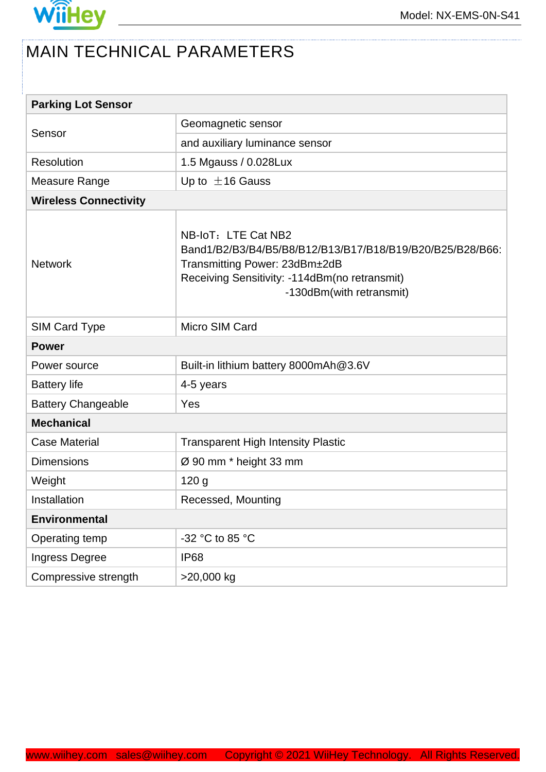

## MAIN TECHNICAL PARAMETERS

| <b>Parking Lot Sensor</b>    |                                                                                                                                                                                                |
|------------------------------|------------------------------------------------------------------------------------------------------------------------------------------------------------------------------------------------|
| Sensor                       | Geomagnetic sensor                                                                                                                                                                             |
|                              | and auxiliary luminance sensor                                                                                                                                                                 |
| <b>Resolution</b>            | 1.5 Mgauss / 0.028Lux                                                                                                                                                                          |
| Measure Range                | Up to $\pm$ 16 Gauss                                                                                                                                                                           |
| <b>Wireless Connectivity</b> |                                                                                                                                                                                                |
| <b>Network</b>               | NB-IoT: LTE Cat NB2<br>Band1/B2/B3/B4/B5/B8/B12/B13/B17/B18/B19/B20/B25/B28/B66:<br>Transmitting Power: 23dBm±2dB<br>Receiving Sensitivity: -114dBm(no retransmit)<br>-130dBm(with retransmit) |
| <b>SIM Card Type</b>         | Micro SIM Card                                                                                                                                                                                 |
| <b>Power</b>                 |                                                                                                                                                                                                |
| Power source                 | Built-in lithium battery 8000mAh@3.6V                                                                                                                                                          |
| <b>Battery life</b>          | 4-5 years                                                                                                                                                                                      |
| <b>Battery Changeable</b>    | Yes                                                                                                                                                                                            |
| <b>Mechanical</b>            |                                                                                                                                                                                                |
| <b>Case Material</b>         | <b>Transparent High Intensity Plastic</b>                                                                                                                                                      |
| <b>Dimensions</b>            | Ø 90 mm * height 33 mm                                                                                                                                                                         |
| Weight                       | 120 <sub>g</sub>                                                                                                                                                                               |
| Installation                 | Recessed, Mounting                                                                                                                                                                             |
| <b>Environmental</b>         |                                                                                                                                                                                                |
| Operating temp               | -32 °C to 85 °C                                                                                                                                                                                |
| Ingress Degree               | <b>IP68</b>                                                                                                                                                                                    |
| Compressive strength         | >20,000 kg                                                                                                                                                                                     |